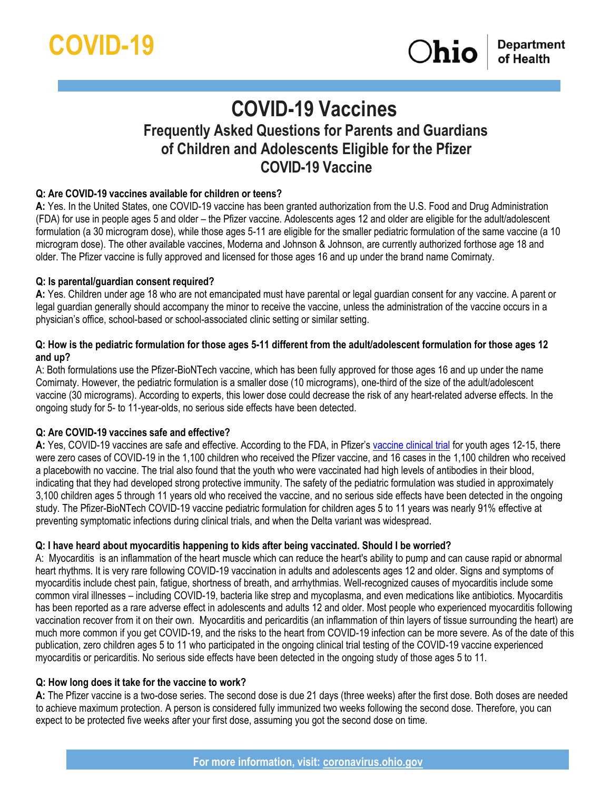# **COVID-19 Vaccines Frequently Asked Questions for Parents and Guardians of Children and Adolescents Eligible for the Pfizer COVID-19 Vaccine**

# **Q: Are COVID-19 vaccines available for children or teens?**

**A:** Yes. In the United States, one COVID-19 vaccine has been granted authorization from the U.S. Food and Drug Administration (FDA) for use in people ages 5 and older – the Pfizer vaccine. Adolescents ages 12 and older are eligible for the adult/adolescent formulation (a 30 microgram dose), while those ages 5-11 are eligible for the smaller pediatric formulation of the same vaccine (a 10 microgram dose). The other available vaccines, Moderna and Johnson & Johnson, are currently authorized forthose age 18 and older. The Pfizer vaccine is fully approved and licensed for those ages 16 and up under the brand name Comirnaty.

#### **Q: Is parental/guardian consent required?**

**A:** Yes. Children under age 18 who are not emancipated must have parental or legal guardian consent for any vaccine. A parent or legal guardian generally should accompany the minor to receive the vaccine, unless the administration of the vaccine occurs in a physician's office, school-based or school-associated clinic setting or similar setting.

#### **Q: How is the pediatric formulation for those ages 5-11 different from the adult/adolescent formulation for those ages 12 and up?**

A: Both formulations use the Pfizer-BioNTech vaccine, which has been fully approved for those ages 16 and up under the name Comirnaty. However, the pediatric formulation is a smaller dose (10 micrograms), one-third of the size of the adult/adolescent vaccine (30 micrograms). According to experts, this lower dose could decrease the risk of any heart-related adverse effects. In the ongoing study for 5- to 11-year-olds, no serious side effects have been detected.

#### **Q: Are COVID-19 vaccines safe and effective?**

**A:** Yes, COVID-19 vaccines are safe and effective. According to the FDA, in Pfizer's [vaccine clinical trial](https://www.fda.gov/news-events/press-announcements/coronavirus-covid-19-update-fda-authorizes-pfizer-biontech-covid-19-vaccine-emergency-use) for youth ages 12-15, there were zero cases of COVID-19 in the 1,100 children who received the Pfizer vaccine, and 16 cases in the 1,100 children who received a placebowith no vaccine. The trial also found that the youth who were vaccinated had high levels of antibodies in their blood, indicating that they had developed strong protective immunity. The safety of the pediatric formulation was studied in approximately 3,100 children ages 5 through 11 years old who received the vaccine, and no serious side effects have been detected in the ongoing study. The Pfizer-BioNTech COVID-19 vaccine pediatric formulation for children ages 5 to 11 years was nearly 91% effective at preventing symptomatic infections during clinical trials, and when the Delta variant was widespread.

#### **Q: I have heard about myocarditis happening to kids after being vaccinated. Should I be worried?**

A: [Myocarditis](https://www.cdc.gov/coronavirus/2019-ncov/vaccines/safety/myocarditis.html) is an inflammation of the heart muscle which can reduce the heart's ability to pump and can cause rapid or abnormal heart rhythms. It is very rare following COVID-19 vaccination in adults and adolescents ages 12 and older. Signs and symptoms of myocarditis include chest pain, fatigue, shortness of breath, and arrhythmias. Well-recognized causes of myocarditis include some common viral illnesses – including COVID-19, bacteria like strep and mycoplasma, and even medications like antibiotics. Myocarditis has been reported as a rare adverse effect in adolescents and adults 12 and older. Most people who experienced myocarditis following vaccination recover from it on their own. Myocarditis and pericarditis (an inflammation of thin layers of tissue surrounding the heart) are much more common if you get COVID-19, and the risks to the heart from COVID-19 infection can be more severe. As of the date of this publication, zero children ages 5 to 11 who participated in the ongoing clinical trial testing of the COVID-19 vaccine experienced myocarditis or pericarditis. No serious side effects have been detected in the ongoing study of those ages 5 to 11.

#### **Q: How long does it take for the vaccine to work?**

**A:** The Pfizer vaccine is a two-dose series. The second dose is due 21 days (three weeks) after the first dose. Both doses are needed to achieve maximum protection. A person is considered fully immunized two weeks following the second dose. Therefore, you can expect to be protected five weeks after your first dose, assuming you got the second dose on time.